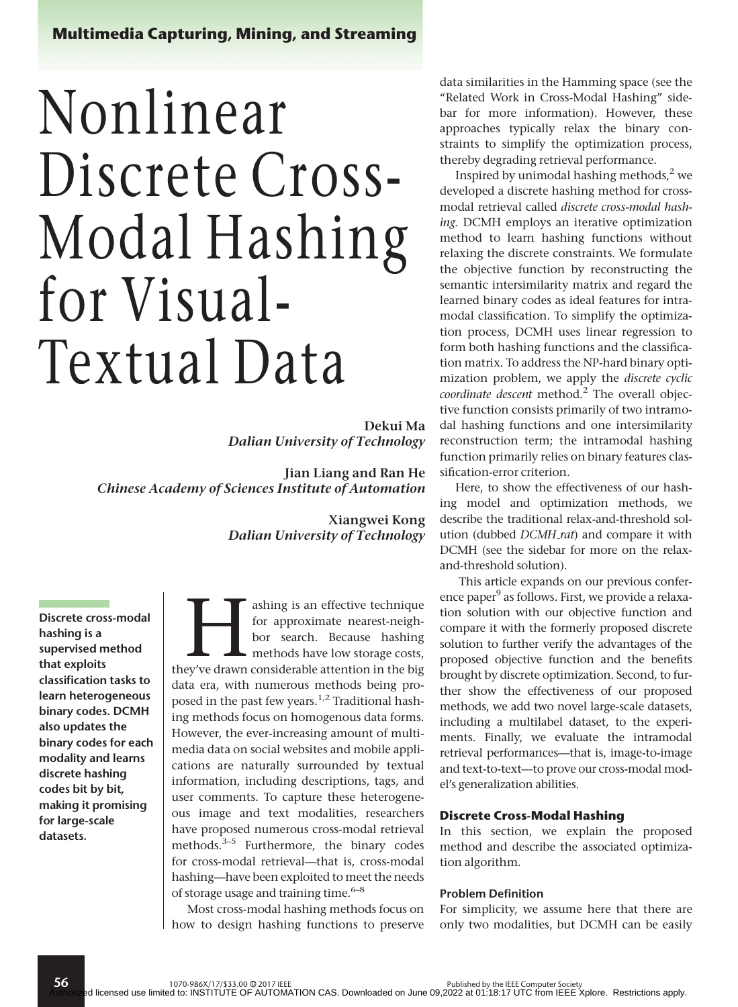# Multimedia Capturing, Mining, and Streaming

# Nonlinear Discrete Cross-Modal Hashing for Visual-Textual Data

Dekui Ma Dalian University of Technology

Jian Liang and Ran He Chinese Academy of Sciences Institute of Automation

> Xiangwei Kong Dalian University of Technology

Discrete cross-modal hashing is a supervised method that exploits classification tasks to learn heterogeneous binary codes. DCMH also updates the binary codes for each modality and learns discrete hashing codes bit by bit, making it promising for large-scale datasets.

56

ashing is an effective technique<br>for approximate nearest-neigh-<br>bor search. Because hashing<br>methods have low storage costs,<br>they've drawn considerable attention in the big for approximate nearest-neighbor search. Because hashing methods have low storage costs, data era, with numerous methods being proposed in the past few years.<sup>1,2</sup> Traditional hashing methods focus on homogenous data forms. However, the ever-increasing amount of multimedia data on social websites and mobile applications are naturally surrounded by textual information, including descriptions, tags, and user comments. To capture these heterogeneous image and text modalities, researchers have proposed numerous cross-modal retrieval methods.<sup>3-5</sup> Furthermore, the binary codes for cross-modal retrieval—that is, cross-modal hashing—have been exploited to meet the needs of storage usage and training time. $6-8$ 

Most cross-modal hashing methods focus on how to design hashing functions to preserve data similarities in the Hamming space (see the "Related Work in Cross-Modal Hashing" sidebar for more information). However, these approaches typically relax the binary constraints to simplify the optimization process, thereby degrading retrieval performance.

Inspired by unimodal hashing methods, $^2$  we developed a discrete hashing method for crossmodal retrieval called discrete cross-modal hashing. DCMH employs an iterative optimization method to learn hashing functions without relaxing the discrete constraints. We formulate the objective function by reconstructing the semantic intersimilarity matrix and regard the learned binary codes as ideal features for intramodal classification. To simplify the optimization process, DCMH uses linear regression to form both hashing functions and the classification matrix. To address the NP-hard binary optimization problem, we apply the discrete cyclic coordinate descent method.<sup>2</sup> The overall objective function consists primarily of two intramodal hashing functions and one intersimilarity reconstruction term; the intramodal hashing function primarily relies on binary features classification-error criterion.

Here, to show the effectiveness of our hashing model and optimization methods, we describe the traditional relax-and-threshold solution (dubbed DCMH\_rat) and compare it with DCMH (see the sidebar for more on the relaxand-threshold solution).

This article expands on our previous conference paper<sup>9</sup> as follows. First, we provide a relaxation solution with our objective function and compare it with the formerly proposed discrete solution to further verify the advantages of the proposed objective function and the benefits brought by discrete optimization. Second, to further show the effectiveness of our proposed methods, we add two novel large-scale datasets, including a multilabel dataset, to the experiments. Finally, we evaluate the intramodal retrieval performances—that is, image-to-image and text-to-text—to prove our cross-modal model's generalization abilities.

#### Discrete Cross-Modal Hashing

In this section, we explain the proposed method and describe the associated optimization algorithm.

#### Problem Definition

For simplicity, we assume here that there are only two modalities, but DCMH can be easily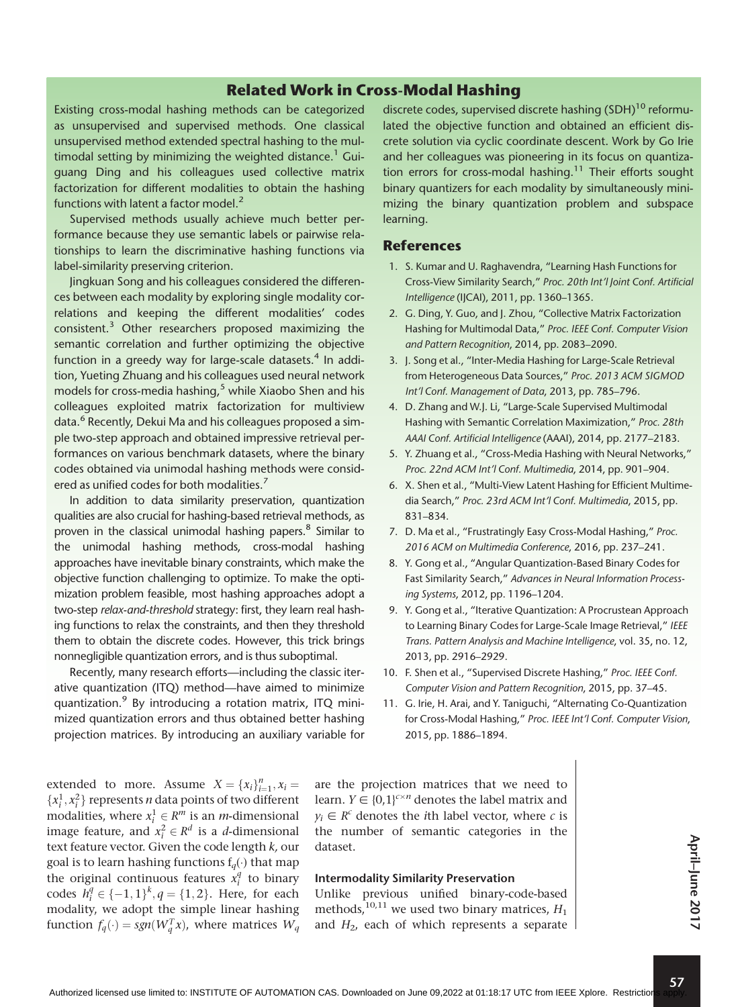# Related Work in Cross-Modal Hashing

Existing cross-modal hashing methods can be categorized as unsupervised and supervised methods. One classical unsupervised method extended spectral hashing to the multimodal setting by minimizing the weighted distance.<sup>1</sup> Guiguang Ding and his colleagues used collective matrix factorization for different modalities to obtain the hashing functions with latent a factor model. $<sup>2</sup>$ </sup>

Supervised methods usually achieve much better performance because they use semantic labels or pairwise relationships to learn the discriminative hashing functions via label-similarity preserving criterion.

Jingkuan Song and his colleagues considered the differences between each modality by exploring single modality correlations and keeping the different modalities' codes consistent.3 Other researchers proposed maximizing the semantic correlation and further optimizing the objective function in a greedy way for large-scale datasets. $4$  In addition, Yueting Zhuang and his colleagues used neural network models for cross-media hashing, $5$  while Xiaobo Shen and his colleagues exploited matrix factorization for multiview data.<sup>6</sup> Recently, Dekui Ma and his colleagues proposed a simple two-step approach and obtained impressive retrieval performances on various benchmark datasets, where the binary codes obtained via unimodal hashing methods were considered as unified codes for both modalities.<sup>7</sup>

In addition to data similarity preservation, quantization qualities are also crucial for hashing-based retrieval methods, as proven in the classical unimodal hashing papers.<sup>8</sup> Similar to the unimodal hashing methods, cross-modal hashing approaches have inevitable binary constraints, which make the objective function challenging to optimize. To make the optimization problem feasible, most hashing approaches adopt a two-step relax-and-threshold strategy: first, they learn real hashing functions to relax the constraints, and then they threshold them to obtain the discrete codes. However, this trick brings nonnegligible quantization errors, and is thus suboptimal.

Recently, many research efforts—including the classic iterative quantization (ITQ) method—have aimed to minimize quantization.<sup>9</sup> By introducing a rotation matrix, ITQ minimized quantization errors and thus obtained better hashing projection matrices. By introducing an auxiliary variable for discrete codes, supervised discrete hashing (SDH)<sup>10</sup> reformulated the objective function and obtained an efficient discrete solution via cyclic coordinate descent. Work by Go Irie and her colleagues was pioneering in its focus on quantization errors for cross-modal hashing.<sup>11</sup> Their efforts sought binary quantizers for each modality by simultaneously minimizing the binary quantization problem and subspace learning.

## References

- 1. S. Kumar and U. Raghavendra, "Learning Hash Functions for Cross-View Similarity Search," Proc. 20th Int'l Joint Conf. Artificial Intelligence (IJCAI), 2011, pp. 1360–1365.
- 2. G. Ding, Y. Guo, and J. Zhou, "Collective Matrix Factorization Hashing for Multimodal Data," Proc. IEEE Conf. Computer Vision and Pattern Recognition, 2014, pp. 2083–2090.
- 3. J. Song et al., "Inter-Media Hashing for Large-Scale Retrieval from Heterogeneous Data Sources," Proc. 2013 ACM SIGMOD Int'l Conf. Management of Data, 2013, pp. 785–796.
- 4. D. Zhang and W.J. Li, "Large-Scale Supervised Multimodal Hashing with Semantic Correlation Maximization," Proc. 28th AAAI Conf. Artificial Intelligence (AAAI), 2014, pp. 2177–2183.
- 5. Y. Zhuang et al., "Cross-Media Hashing with Neural Networks," Proc. 22nd ACM Int'l Conf. Multimedia, 2014, pp. 901–904.
- 6. X. Shen et al., "Multi-View Latent Hashing for Efficient Multimedia Search," Proc. 23rd ACM Int'l Conf. Multimedia, 2015, pp. 831–834.
- 7. D. Ma et al., "Frustratingly Easy Cross-Modal Hashing," Proc. 2016 ACM on Multimedia Conference, 2016, pp. 237–241.
- 8. Y. Gong et al., "Angular Quantization-Based Binary Codes for Fast Similarity Search," Advances in Neural Information Processing Systems, 2012, pp. 1196–1204.
- 9. Y. Gong et al., "Iterative Quantization: A Procrustean Approach to Learning Binary Codes for Large-Scale Image Retrieval," IEEE Trans. Pattern Analysis and Machine Intelligence, vol. 35, no. 12, 2013, pp. 2916–2929.
- 10. F. Shen et al., "Supervised Discrete Hashing," Proc. IEEE Conf. Computer Vision and Pattern Recognition, 2015, pp. 37–45.
- 11. G. Irie, H. Arai, and Y. Taniguchi, "Alternating Co-Quantization for Cross-Modal Hashing," Proc. IEEE Int'l Conf. Computer Vision, 2015, pp. 1886–1894.

extended to more. Assume  $X = \{x_i\}_{i=1}^n, x_i =$  ${x_i^1, x_i^2}$  represents *n* data points of two different modalities, where  $x_i^1 \in R^m$  is an *m*-dimensional image feature, and  $x_i^2 \in R^d$  is a *d*-dimensional text feature vector. Given the code length  $k$ , our goal is to learn hashing functions  $f_q(\cdot)$  that map the original continuous features  $x_i^q$  to binary codes  $h_i^q \in \{-1, 1\}^k$ ,  $q = \{1, 2\}$ . Here, for each modality, we adopt the simple linear hashing function  $f_q(\cdot) = sgn(W_q^T x)$ , where matrices  $W_q$ 

are the projection matrices that we need to learn.  $Y \in \{0,1\}^{c \times n}$  denotes the label matrix and  $y_i \in R^c$  denotes the *i*th label vector, where *c* is the number of semantic categories in the dataset.

#### Intermodality Similarity Preservation

Unlike previous unified binary-code-based methods,<sup>10,11</sup> we used two binary matrices,  $H_1$ and  $H_2$ , each of which represents a separate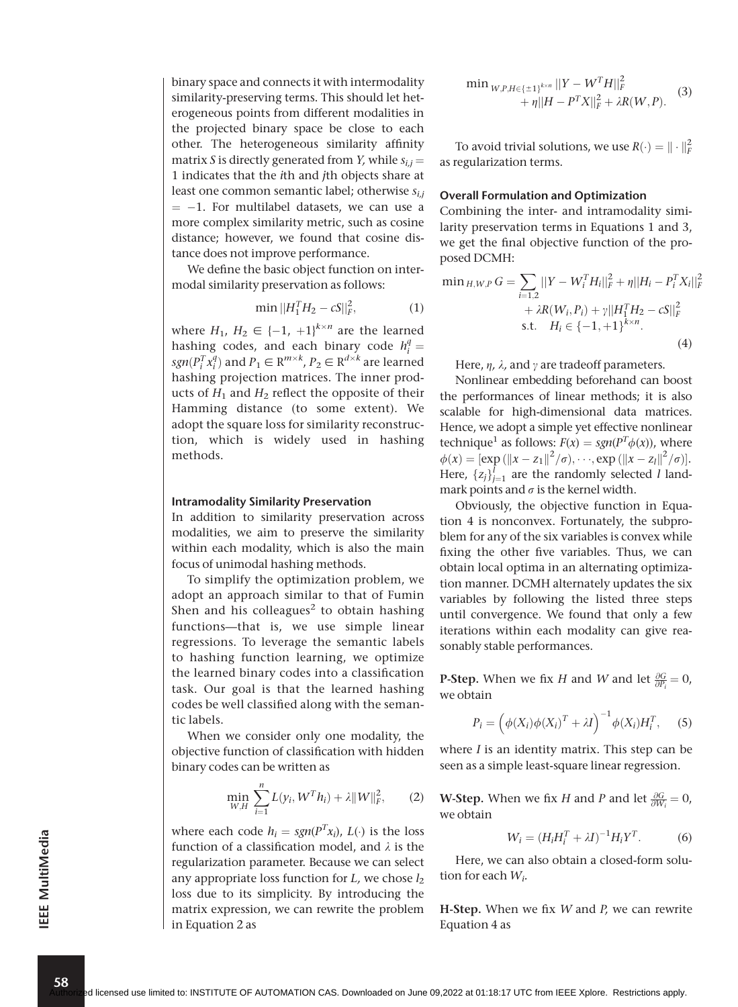binary space and connects it with intermodality similarity-preserving terms. This should let heterogeneous points from different modalities in the projected binary space be close to each other. The heterogeneous similarity affinity matrix S is directly generated from Y, while  $s_{i,j} =$ 1 indicates that the ith and jth objects share at least one common semantic label; otherwise  $s_{i,i}$  $= -1$ . For multilabel datasets, we can use a more complex similarity metric, such as cosine distance; however, we found that cosine distance does not improve performance.

We define the basic object function on intermodal similarity preservation as follows:

$$
\min ||H_1^T H_2 - cS||_F^2, \tag{1}
$$

where  $H_1$ ,  $H_2 \in \{-1, +1\}^{k \times n}$  are the learned hashing codes, and each binary code  $h_i^q =$  $sgn(P_i^T x_i^q)$  and  $P_1 \in \mathbb{R}^{m \times k}$ ,  $P_2 \in \mathbb{R}^{d \times k}$  are learned hashing projection matrices. The inner products of  $H_1$  and  $H_2$  reflect the opposite of their Hamming distance (to some extent). We adopt the square loss for similarity reconstruction, which is widely used in hashing methods.

#### Intramodality Similarity Preservation

In addition to similarity preservation across modalities, we aim to preserve the similarity within each modality, which is also the main focus of unimodal hashing methods.

To simplify the optimization problem, we adopt an approach similar to that of Fumin Shen and his colleagues<sup>2</sup> to obtain hashing functions—that is, we use simple linear regressions. To leverage the semantic labels to hashing function learning, we optimize the learned binary codes into a classification task. Our goal is that the learned hashing codes be well classified along with the semantic labels.

When we consider only one modality, the objective function of classification with hidden binary codes can be written as

$$
\min_{W,H} \sum_{i=1}^{n} L(y_i, W^T h_i) + \lambda \|W\|_F^2, \qquad (2)
$$

where each code  $h_i = sgn(P^T x_i)$ ,  $L(\cdot)$  is the loss function of a classification model, and  $\lambda$  is the regularization parameter. Because we can select any appropriate loss function for  $L$ , we chose  $l_2$ loss due to its simplicity. By introducing the matrix expression, we can rewrite the problem in Equation 2 as

$$
\min_{W,P,H \in \{\pm 1\}^{k \times n}} \frac{||Y - W^T H||_F^2}{||H - P^T X||_F^2 + \lambda R(W, P)} \tag{3}
$$

To avoid trivial solutions, we use  $R(\cdot) = || \cdot ||_F^2$ as regularization terms.

#### Overall Formulation and Optimization

Combining the inter- and intramodality similarity preservation terms in Equations 1 and 3, we get the final objective function of the proposed DCMH:

$$
\min_{H,W,P} G = \sum_{i=1,2} ||Y - W_i^T H_i||_F^2 + \eta ||H_i - P_i^T X_i||_F^2
$$
  
+  $\lambda R(W_i, P_i) + \gamma ||H_1^T H_2 - cS||_F^2$   
s.t.  $H_i \in \{-1, +1\}^{k \times n}$ . (4)

Here,  $\eta$ ,  $\lambda$ , and  $\gamma$  are tradeoff parameters.

Nonlinear embedding beforehand can boost the performances of linear methods; it is also scalable for high-dimensional data matrices. Hence, we adopt a simple yet effective nonlinear technique<sup>1</sup> as follows:  $F(x) = sgn(P^T\phi(x))$ , where  $\phi(x) = [\exp(||x - z_1||^2/\sigma), \cdots, \exp(||x - z_l||^2/\sigma)].$ Here,  $\{z_j\}_{j=1}^l$  are the randomly selected *l* landmark points and  $\sigma$  is the kernel width.

Obviously, the objective function in Equation 4 is nonconvex. Fortunately, the subproblem for any of the six variables is convex while fixing the other five variables. Thus, we can obtain local optima in an alternating optimization manner. DCMH alternately updates the six variables by following the listed three steps until convergence. We found that only a few iterations within each modality can give reasonably stable performances.

**P-Step.** When we fix H and W and let  $\frac{\partial G}{\partial P_i} = 0$ , we obtain

$$
P_i = \left(\phi(X_i)\phi(X_i)^T + \lambda I\right)^{-1} \phi(X_i)H_i^T, \quad (5)
$$

where  $I$  is an identity matrix. This step can be seen as a simple least-square linear regression.

**W-Step.** When we fix H and P and let  $\frac{\partial G}{\partial W_i} = 0$ , we obtain

$$
W_i = (H_i H_i^T + \lambda I)^{-1} H_i Y^T.
$$
 (6)

Here, we can also obtain a closed-form solution for each  $W_i$ .

**H-Step.** When we fix  $W$  and  $P$ , we can rewrite Equation 4 as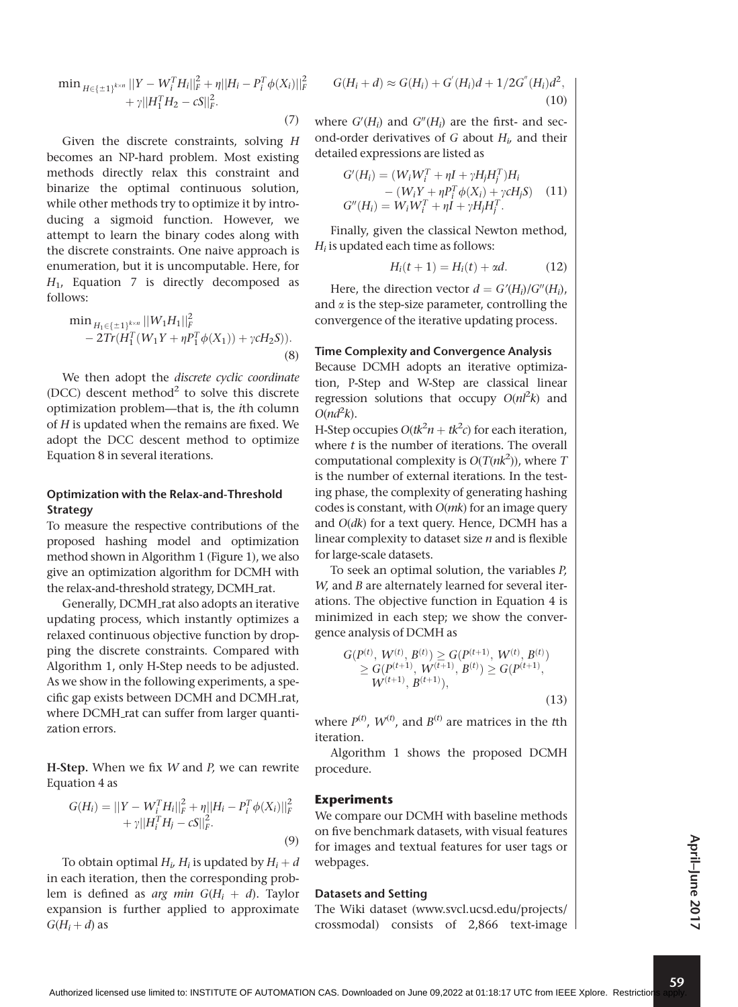$$
\begin{aligned}\n\min_{H \in \{\pm 1\}^{k \times n}} ||Y - W_i^T H_i||_F^2 + \eta ||H_i - P_i^T \phi(X_i)||_F^2 \\
&+ \gamma ||H_1^T H_2 - cS||_F^2.\n\end{aligned}
$$

(7)

Given the discrete constraints, solving H becomes an NP-hard problem. Most existing methods directly relax this constraint and binarize the optimal continuous solution, while other methods try to optimize it by introducing a sigmoid function. However, we attempt to learn the binary codes along with the discrete constraints. One naive approach is enumeration, but it is uncomputable. Here, for  $H<sub>1</sub>$ , Equation 7 is directly decomposed as follows:

$$
\min_{H_1 \in \{\pm 1\}^{k \times n}} ||W_1 H_1||_F^2 - 2Tr(H_1^T(W_1 Y + \eta P_1^T \phi(X_1)) + \gamma c H_2 S)).
$$
\n(8)

We then adopt the discrete cyclic coordinate (DCC) descent method<sup>2</sup> to solve this discrete optimization problem—that is, the ith column of H is updated when the remains are fixed. We adopt the DCC descent method to optimize Equation 8 in several iterations.

#### Optimization with the Relax-and-Threshold **Strategy**

To measure the respective contributions of the proposed hashing model and optimization method shown in Algorithm 1 (Figure 1), we also give an optimization algorithm for DCMH with the relax-and-threshold strategy, DCMH\_rat.

Generally, DCMH rat also adopts an iterative updating process, which instantly optimizes a relaxed continuous objective function by dropping the discrete constraints. Compared with Algorithm 1, only H-Step needs to be adjusted. As we show in the following experiments, a specific gap exists between DCMH and DCMH\_rat, where DCMH\_rat can suffer from larger quantization errors.

**H-Step.** When we fix  $W$  and  $P$ , we can rewrite Equation 4 as

$$
G(H_i) = ||Y - W_i^T H_i||_F^2 + \eta ||H_i - P_i^T \phi(X_i)||_F^2
$$
  
+  $\gamma ||H_i^T H_j - cS||_F^2$ . (9)

To obtain optimal  $H_i$ ,  $H_i$  is updated by  $H_i + d$ in each iteration, then the corresponding problem is defined as arg min  $G(H_i + d)$ . Taylor expansion is further applied to approximate  $G(H_i + d)$  as

$$
G(H_i + d) \approx G(H_i) + G'(H_i)d + 1/2G''(H_i)d^2,
$$
\n(10)

where  $G'(H_i)$  and  $G''(H_i)$  are the first- and second-order derivatives of G about  $H_i$ , and their detailed expressions are listed as

$$
G'(H_i) = (W_i W_i^T + \eta I + \gamma H_j H_j^T) H_i - (W_i Y + \eta P_i^T \phi(X_i) + \gamma c H_j S) \quad (11) G''(H_i) = W_i W_i^T + \eta I + \gamma H_j H_j^T.
$$

Finally, given the classical Newton method,  $H_i$  is updated each time as follows:

$$
H_i(t+1) = H_i(t) + \alpha d. \tag{12}
$$

Here, the direction vector  $d = G'(H_i)/G''(H_i)$ , and  $\alpha$  is the step-size parameter, controlling the convergence of the iterative updating process.

#### Time Complexity and Convergence Analysis

Because DCMH adopts an iterative optimization, P-Step and W-Step are classical linear regression solutions that occupy  $O(nl^2k)$  and  $O(nd^2k)$ .

H-Step occupies  $O(tk^2n + tk^2c)$  for each iteration, where  $t$  is the number of iterations. The overall computational complexity is  $O(T(nk^2))$ , where T is the number of external iterations. In the testing phase, the complexity of generating hashing codes is constant, with  $O(mk)$  for an image query and  $O(dk)$  for a text query. Hence, DCMH has a linear complexity to dataset size  $n$  and is flexible for large-scale datasets.

To seek an optimal solution, the variables P, W, and B are alternately learned for several iterations. The objective function in Equation 4 is minimized in each step; we show the convergence analysis of DCMH as

$$
G(P^{(t)}, W^{(t)}, B^{(t)}) \ge G(P^{(t+1)}, W^{(t)}, B^{(t)})
$$
  
\n
$$
\ge G(P^{(t+1)}, W^{(t+1)}, B^{(t)}) \ge G(P^{(t+1)}, W^{(t+1)}, B^{(t+1)}),
$$
  
\n
$$
(13)
$$

where  $P^{(t)}$ ,  $W^{(t)}$ , and  $B^{(t)}$  are matrices in the tth iteration.

Algorithm 1 shows the proposed DCMH procedure.

#### Experiments

We compare our DCMH with baseline methods on five benchmark datasets, with visual features for images and textual features for user tags or webpages.

#### Datasets and Setting

The Wiki dataset (www.svcl.ucsd.edu/projects/ crossmodal) consists of 2,866 text-image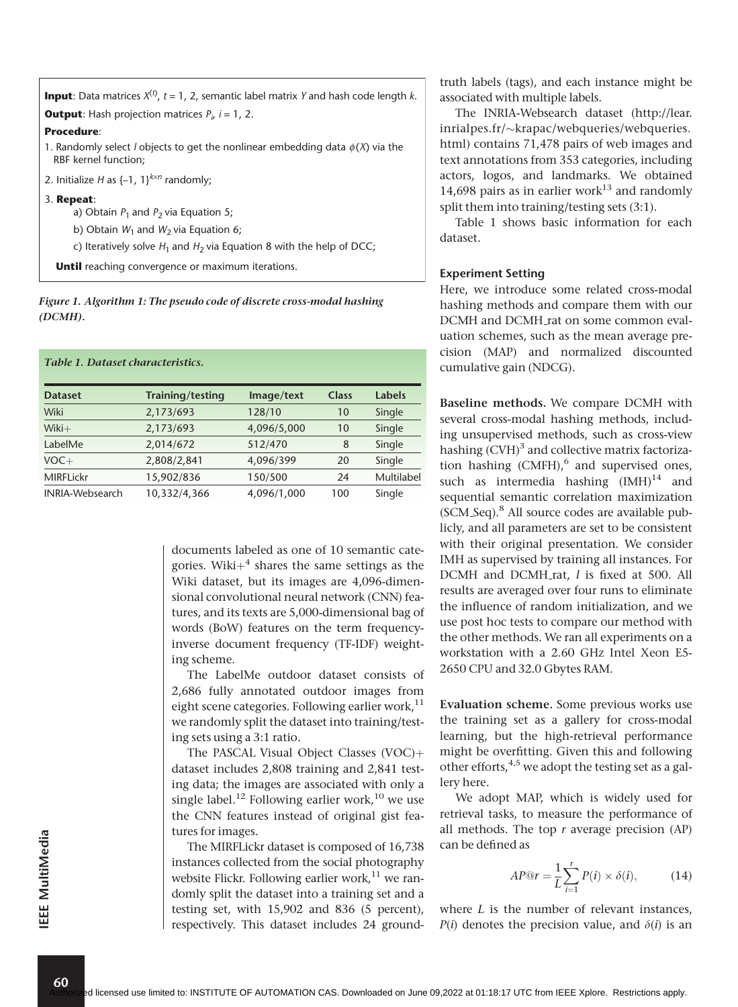**Input**: Data matrices *X*(*t*) , *t* = 1, 2, semantic label matrix *Y* and hash code length *k*.

**Output:** Hash projection matrices  $P_i$ , *i* = 1, 2.

#### **Procedure**:

- 1. Randomly select *l* objects to get the nonlinear embedding data φ (*X*) via the RBF kernel function;
- 2. Initialize *H* as  $\{-1, 1\}^{k \times n}$  randomly;

#### 3. **Repeat**:

- a) Obtain  $P_1$  and  $P_2$  via Equation 5;
- b) Obtain  $W_1$  and  $W_2$  via Equation 6;
- c) Iteratively solve  $H_1$  and  $H_2$  via Equation 8 with the help of DCC;

**Until** reaching convergence or maximum iterations.

Figure 1. Algorithm 1: The pseudo code of discrete cross-modal hashing (DCMH).

|  |  |  |  | Table 1. Dataset characteristics. |
|--|--|--|--|-----------------------------------|
|--|--|--|--|-----------------------------------|

| <b>Dataset</b>         | Training/testing | Image/text  | Class | Labels     |
|------------------------|------------------|-------------|-------|------------|
| Wiki                   | 2,173/693        | 128/10      | 10    | Single     |
| $Wiki+$                | 2,173/693        | 4,096/5,000 | 10    | Single     |
| LabelMe                | 2,014/672        | 512/470     | 8     | Single     |
| $VOC +$                | 2,808/2,841      | 4,096/399   | 20    | Single     |
| <b>MIRFLickr</b>       | 15,902/836       | 150/500     | 24    | Multilabel |
| <b>INRIA-Websearch</b> | 10,332/4,366     | 4,096/1,000 | 100   | Single     |

documents labeled as one of 10 semantic categories. Wiki $+$ <sup>4</sup> shares the same settings as the Wiki dataset, but its images are 4,096-dimensional convolutional neural network (CNN) features, and its texts are 5,000-dimensional bag of words (BoW) features on the term frequencyinverse document frequency (TF-IDF) weighting scheme.

The LabelMe outdoor dataset consists of 2,686 fully annotated outdoor images from eight scene categories. Following earlier work,  $11$ we randomly split the dataset into training/testing sets using a 3:1 ratio.

The PASCAL Visual Object Classes  $(VOC)$ + dataset includes 2,808 training and 2,841 testing data; the images are associated with only a single label.<sup>12</sup> Following earlier work,<sup>10</sup> we use the CNN features instead of original gist features for images.

The MIRFLickr dataset is composed of 16,738 instances collected from the social photography website Flickr. Following earlier work, $11$  we randomly split the dataset into a training set and a testing set, with 15,902 and 836 (5 percent), respectively. This dataset includes 24 groundtruth labels (tags), and each instance might be associated with multiple labels.

The INRIA-Websearch dataset (http://lear. inrialpes.fr/~krapac/webqueries/webqueries. html) contains 71,478 pairs of web images and text annotations from 353 categories, including actors, logos, and landmarks. We obtained 14,698 pairs as in earlier work<sup>13</sup> and randomly split them into training/testing sets (3:1).

Table 1 shows basic information for each dataset.

#### Experiment Setting

Here, we introduce some related cross-modal hashing methods and compare them with our DCMH and DCMH\_rat on some common evaluation schemes, such as the mean average precision (MAP) and normalized discounted cumulative gain (NDCG).

Baseline methods. We compare DCMH with several cross-modal hashing methods, including unsupervised methods, such as cross-view hashing  $(CVH)^3$  and collective matrix factorization hashing  $(CMFH)$ ,  $6$  and supervised ones, such as intermedia hashing  $(MH)^{14}$  and sequential semantic correlation maximization (SCM Seq).8 All source codes are available publicly, and all parameters are set to be consistent with their original presentation. We consider IMH as supervised by training all instances. For DCMH and DCMH\_rat, l is fixed at 500. All results are averaged over four runs to eliminate the influence of random initialization, and we use post hoc tests to compare our method with the other methods. We ran all experiments on a workstation with a 2.60 GHz Intel Xeon E5- 2650 CPU and 32.0 Gbytes RAM.

Evaluation scheme. Some previous works use the training set as a gallery for cross-modal learning, but the high-retrieval performance might be overfitting. Given this and following other efforts,  $4.5$  we adopt the testing set as a gallery here.

We adopt MAP, which is widely used for retrieval tasks, to measure the performance of all methods. The top  $r$  average precision  $(AP)$ can be defined as

$$
AP@r = \frac{1}{L} \sum_{i=1}^{r} P(i) \times \delta(i), \tag{14}
$$

where  $L$  is the number of relevant instances,  $P(i)$  denotes the precision value, and  $\delta(i)$  is an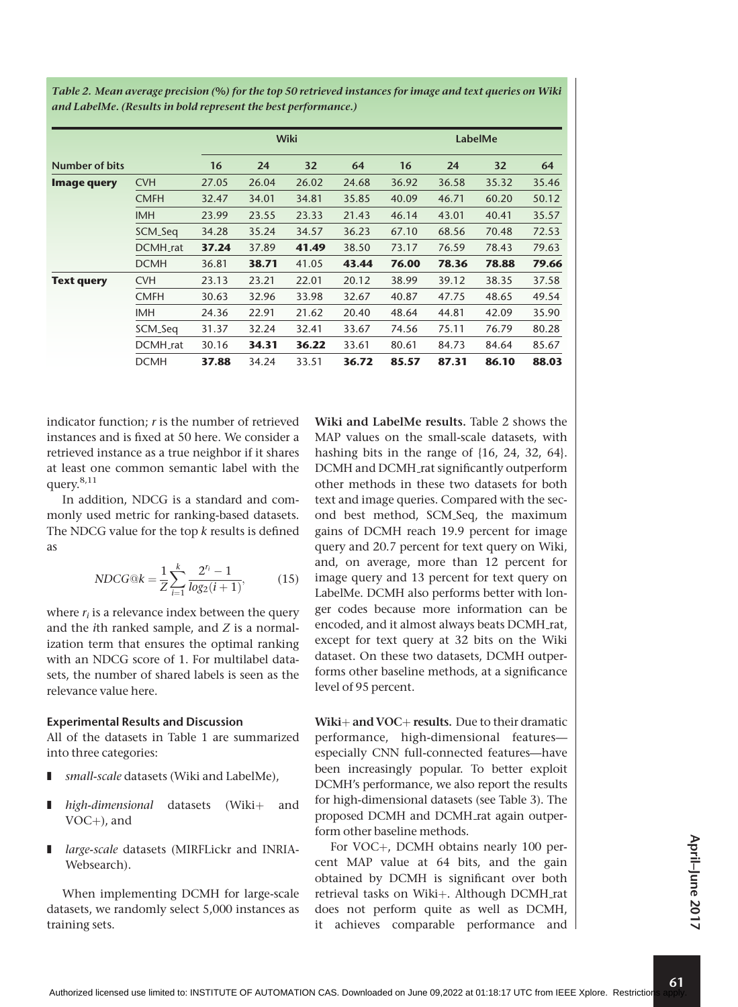|                    |             |       |       | <b>Wiki</b> |       | LabelMe |       |       |       |
|--------------------|-------------|-------|-------|-------------|-------|---------|-------|-------|-------|
| Number of bits     |             | 16    | 24    | 32          | 64    | 16      | 24    | 32    | 64    |
| <b>Image query</b> | <b>CVH</b>  | 27.05 | 26.04 | 26.02       | 24.68 | 36.92   | 36.58 | 35.32 | 35.46 |
|                    | <b>CMFH</b> | 32.47 | 34.01 | 34.81       | 35.85 | 40.09   | 46.71 | 60.20 | 50.12 |
|                    | <b>IMH</b>  | 23.99 | 23.55 | 23.33       | 21.43 | 46.14   | 43.01 | 40.41 | 35.57 |
|                    | SCM_Seq     | 34.28 | 35.24 | 34.57       | 36.23 | 67.10   | 68.56 | 70.48 | 72.53 |
|                    | DCMH_rat    | 37.24 | 37.89 | 41.49       | 38.50 | 73.17   | 76.59 | 78.43 | 79.63 |
|                    | <b>DCMH</b> | 36.81 | 38.71 | 41.05       | 43.44 | 76.00   | 78.36 | 78.88 | 79.66 |
| <b>Text query</b>  | <b>CVH</b>  | 23.13 | 23.21 | 22.01       | 20.12 | 38.99   | 39.12 | 38.35 | 37.58 |
|                    | <b>CMFH</b> | 30.63 | 32.96 | 33.98       | 32.67 | 40.87   | 47.75 | 48.65 | 49.54 |
|                    | <b>IMH</b>  | 24.36 | 22.91 | 21.62       | 20.40 | 48.64   | 44.81 | 42.09 | 35.90 |
|                    | SCM_Seq     | 31.37 | 32.24 | 32.41       | 33.67 | 74.56   | 75.11 | 76.79 | 80.28 |
|                    | DCMH_rat    | 30.16 | 34.31 | 36.22       | 33.61 | 80.61   | 84.73 | 84.64 | 85.67 |
|                    | <b>DCMH</b> | 37.88 | 34.24 | 33.51       | 36.72 | 85.57   | 87.31 | 86.10 | 88.03 |

Table 2. Mean average precision (%) for the top 50 retrieved instances for image and text queries on Wiki and LabelMe. (Results in bold represent the best performance.)

indicator function;  $r$  is the number of retrieved instances and is fixed at 50 here. We consider a retrieved instance as a true neighbor if it shares at least one common semantic label with the query.8,11

In addition, NDCG is a standard and commonly used metric for ranking-based datasets. The NDCG value for the top  $k$  results is defined as

$$
NDCG@k = \frac{1}{Z} \sum_{i=1}^{k} \frac{2^{r_i} - 1}{\log_2(i+1)},
$$
(15)

where  $r_i$  is a relevance index between the query and the ith ranked sample, and Z is a normalization term that ensures the optimal ranking with an NDCG score of 1. For multilabel datasets, the number of shared labels is seen as the relevance value here.

#### Experimental Results and Discussion

All of the datasets in Table 1 are summarized into three categories:

- small-scale datasets (Wiki and LabelMe),
- $high\text{-}dimensional$  datasets (Wiki $+$  and  $VOC+$ ), and
- large-scale datasets (MIRFLickr and INRIA-Websearch).

When implementing DCMH for large-scale datasets, we randomly select 5,000 instances as training sets.

Wiki and LabelMe results. Table 2 shows the MAP values on the small-scale datasets, with hashing bits in the range of {16, 24, 32, 64}. DCMH and DCMH rat significantly outperform other methods in these two datasets for both text and image queries. Compared with the second best method, SCM Seq, the maximum gains of DCMH reach 19.9 percent for image query and 20.7 percent for text query on Wiki, and, on average, more than 12 percent for image query and 13 percent for text query on LabelMe. DCMH also performs better with longer codes because more information can be encoded, and it almost always beats DCMH\_rat, except for text query at 32 bits on the Wiki dataset. On these two datasets, DCMH outperforms other baseline methods, at a significance level of 95 percent.

Wiki $+$  and VOC $+$  results. Due to their dramatic performance, high-dimensional features especially CNN full-connected features—have been increasingly popular. To better exploit DCMH's performance, we also report the results for high-dimensional datasets (see Table 3). The proposed DCMH and DCMH rat again outperform other baseline methods.

For VOC+, DCMH obtains nearly 100 percent MAP value at 64 bits, and the gain obtained by DCMH is significant over both retrieval tasks on Wiki+. Although DCMH\_rat does not perform quite as well as DCMH, it achieves comparable performance and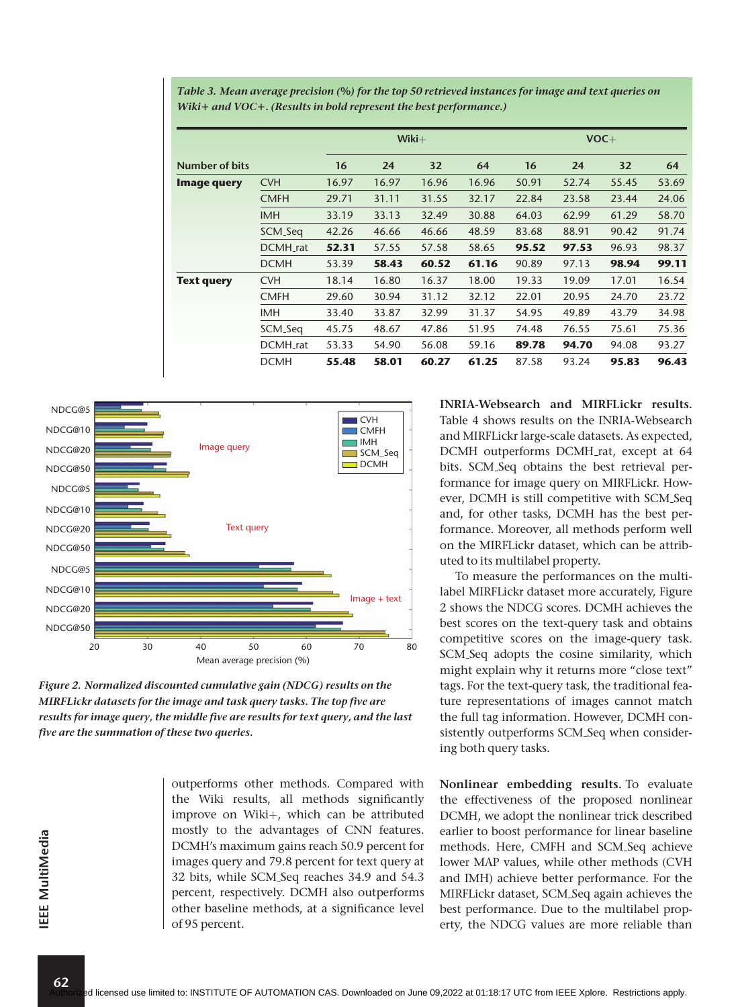|                   |             |       |       | $Wiki+$ |       |       |       | $VOC +$ |       |
|-------------------|-------------|-------|-------|---------|-------|-------|-------|---------|-------|
| Number of bits    |             | 16    | 24    | 32      | 64    | 16    | 24    | 32      | 64    |
| Image query       | <b>CVH</b>  | 16.97 | 16.97 | 16.96   | 16.96 | 50.91 | 52.74 | 55.45   | 53.69 |
|                   | <b>CMFH</b> | 29.71 | 31.11 | 31.55   | 32.17 | 22.84 | 23.58 | 23.44   | 24.06 |
|                   | <b>IMH</b>  | 33.19 | 33.13 | 32.49   | 30.88 | 64.03 | 62.99 | 61.29   | 58.70 |
|                   | SCM_Seq     | 42.26 | 46.66 | 46.66   | 48.59 | 83.68 | 88.91 | 90.42   | 91.74 |
|                   | DCMH_rat    | 52.31 | 57.55 | 57.58   | 58.65 | 95.52 | 97.53 | 96.93   | 98.37 |
|                   | <b>DCMH</b> | 53.39 | 58.43 | 60.52   | 61.16 | 90.89 | 97.13 | 98.94   | 99.11 |
| <b>Text query</b> | <b>CVH</b>  | 18.14 | 16.80 | 16.37   | 18.00 | 19.33 | 19.09 | 17.01   | 16.54 |
|                   | <b>CMFH</b> | 29.60 | 30.94 | 31.12   | 32.12 | 22.01 | 20.95 | 24.70   | 23.72 |
|                   | <b>IMH</b>  | 33.40 | 33.87 | 32.99   | 31.37 | 54.95 | 49.89 | 43.79   | 34.98 |
|                   | SCM_Seq     | 45.75 | 48.67 | 47.86   | 51.95 | 74.48 | 76.55 | 75.61   | 75.36 |
|                   | DCMH_rat    | 53.33 | 54.90 | 56.08   | 59.16 | 89.78 | 94.70 | 94.08   | 93.27 |
|                   | <b>DCMH</b> | 55.48 | 58.01 | 60.27   | 61.25 | 87.58 | 93.24 | 95.83   | 96.43 |

Table 3. Mean average precision (%) for the top 50 retrieved instances for image and text queries on Wiki+ and VOC+. (Results in bold represent the best performance.)



Figure 2. Normalized discounted cumulative gain (NDCG) results on the MIRFLickr datasets for the image and task query tasks. The top five are results for image query, the middle five are results for text query, and the last five are the summation of these two queries.

outperforms other methods. Compared with the Wiki results, all methods significantly improve on Wiki+, which can be attributed mostly to the advantages of CNN features. DCMH's maximum gains reach 50.9 percent for images query and 79.8 percent for text query at 32 bits, while SCM Seq reaches 34.9 and 54.3 percent, respectively. DCMH also outperforms other baseline methods, at a significance level of 95 percent.

INRIA-Websearch and MIRFLickr results. Table 4 shows results on the INRIA-Websearch and MIRFLickr large-scale datasets. As expected, DCMH outperforms DCMH rat, except at 64 bits. SCM Seq obtains the best retrieval performance for image query on MIRFLickr. However, DCMH is still competitive with SCM Seq and, for other tasks, DCMH has the best performance. Moreover, all methods perform well on the MIRFLickr dataset, which can be attributed to its multilabel property.

To measure the performances on the multilabel MIRFLickr dataset more accurately, Figure 2 shows the NDCG scores. DCMH achieves the best scores on the text-query task and obtains competitive scores on the image-query task. SCM Seq adopts the cosine similarity, which might explain why it returns more "close text" tags. For the text-query task, the traditional feature representations of images cannot match the full tag information. However, DCMH consistently outperforms SCM Seq when considering both query tasks.

Nonlinear embedding results. To evaluate the effectiveness of the proposed nonlinear DCMH, we adopt the nonlinear trick described earlier to boost performance for linear baseline methods. Here, CMFH and SCM Seq achieve lower MAP values, while other methods (CVH and IMH) achieve better performance. For the MIRFLickr dataset, SCM Seq again achieves the best performance. Due to the multilabel property, the NDCG values are more reliable than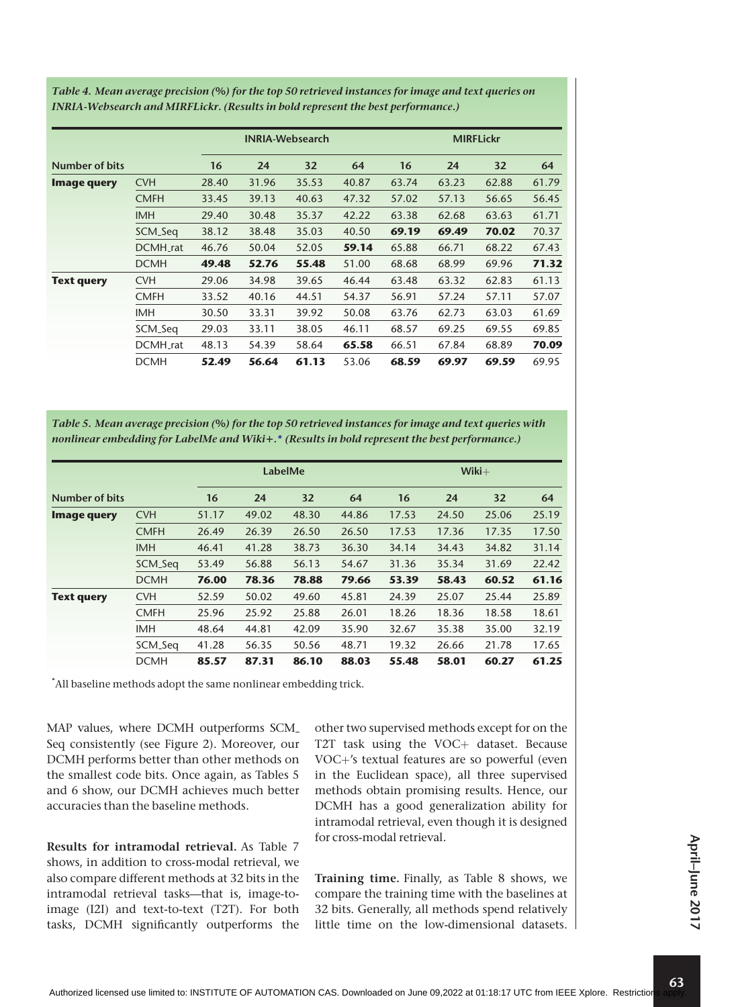|                       |             |       |       | <b>INRIA-Websearch</b> |       | <b>MIRFLickr</b> |       |       |       |
|-----------------------|-------------|-------|-------|------------------------|-------|------------------|-------|-------|-------|
| <b>Number of bits</b> |             | 16    | 24    | 32                     | 64    | 16               | 24    | 32    | 64    |
| Image query           | <b>CVH</b>  | 28.40 | 31.96 | 35.53                  | 40.87 | 63.74            | 63.23 | 62.88 | 61.79 |
|                       | <b>CMFH</b> | 33.45 | 39.13 | 40.63                  | 47.32 | 57.02            | 57.13 | 56.65 | 56.45 |
|                       | <b>IMH</b>  | 29.40 | 30.48 | 35.37                  | 42.22 | 63.38            | 62.68 | 63.63 | 61.71 |
|                       | SCM_Seq     | 38.12 | 38.48 | 35.03                  | 40.50 | 69.19            | 69.49 | 70.02 | 70.37 |
|                       | DCMH_rat    | 46.76 | 50.04 | 52.05                  | 59.14 | 65.88            | 66.71 | 68.22 | 67.43 |
|                       | <b>DCMH</b> | 49.48 | 52.76 | 55.48                  | 51.00 | 68.68            | 68.99 | 69.96 | 71.32 |
| <b>Text query</b>     | <b>CVH</b>  | 29.06 | 34.98 | 39.65                  | 46.44 | 63.48            | 63.32 | 62.83 | 61.13 |
|                       | <b>CMFH</b> | 33.52 | 40.16 | 44.51                  | 54.37 | 56.91            | 57.24 | 57.11 | 57.07 |
|                       | <b>IMH</b>  | 30.50 | 33.31 | 39.92                  | 50.08 | 63.76            | 62.73 | 63.03 | 61.69 |
|                       | SCM_Seq     | 29.03 | 33.11 | 38.05                  | 46.11 | 68.57            | 69.25 | 69.55 | 69.85 |
|                       | DCMH_rat    | 48.13 | 54.39 | 58.64                  | 65.58 | 66.51            | 67.84 | 68.89 | 70.09 |
|                       | <b>DCMH</b> | 52.49 | 56.64 | 61.13                  | 53.06 | 68.59            | 69.97 | 69.59 | 69.95 |

Table 4. Mean average precision (%) for the top 50 retrieved instances for image and text queries on INRIA-Websearch and MIRFLickr. (Results in bold represent the best performance.)

Table 5. Mean average precision (%) for the top 50 retrieved instances for image and text queries with nonlinear embedding for LabelMe and Wiki+.\* (Results in bold represent the best performance.)

|                   |             |       |       | LabelMe |       | $Wiki+$ |       |       |       |
|-------------------|-------------|-------|-------|---------|-------|---------|-------|-------|-------|
| Number of bits    |             | 16    | 24    | 32      | 64    | 16      | 24    | 32    | 64    |
| Image query       | <b>CVH</b>  | 51.17 | 49.02 | 48.30   | 44.86 | 17.53   | 24.50 | 25.06 | 25.19 |
|                   | <b>CMFH</b> | 26.49 | 26.39 | 26.50   | 26.50 | 17.53   | 17.36 | 17.35 | 17.50 |
|                   | <b>IMH</b>  | 46.41 | 41.28 | 38.73   | 36.30 | 34.14   | 34.43 | 34.82 | 31.14 |
|                   | SCM_Seq     | 53.49 | 56.88 | 56.13   | 54.67 | 31.36   | 35.34 | 31.69 | 22.42 |
|                   | <b>DCMH</b> | 76.00 | 78.36 | 78.88   | 79.66 | 53.39   | 58.43 | 60.52 | 61.16 |
| <b>Text query</b> | <b>CVH</b>  | 52.59 | 50.02 | 49.60   | 45.81 | 24.39   | 25.07 | 25.44 | 25.89 |
|                   | <b>CMFH</b> | 25.96 | 25.92 | 25.88   | 26.01 | 18.26   | 18.36 | 18.58 | 18.61 |
|                   | <b>IMH</b>  | 48.64 | 44.81 | 42.09   | 35.90 | 32.67   | 35.38 | 35.00 | 32.19 |
|                   | SCM_Seq     | 41.28 | 56.35 | 50.56   | 48.71 | 19.32   | 26.66 | 21.78 | 17.65 |
|                   | <b>DCMH</b> | 85.57 | 87.31 | 86.10   | 88.03 | 55.48   | 58.01 | 60.27 | 61.25 |

\* All baseline methods adopt the same nonlinear embedding trick.

MAP values, where DCMH outperforms SCM Seq consistently (see Figure 2). Moreover, our DCMH performs better than other methods on the smallest code bits. Once again, as Tables 5 and 6 show, our DCMH achieves much better accuracies than the baseline methods.

Results for intramodal retrieval. As Table 7 shows, in addition to cross-modal retrieval, we also compare different methods at 32 bits in the intramodal retrieval tasks—that is, image-toimage (I2I) and text-to-text (T2T). For both tasks, DCMH significantly outperforms the

other two supervised methods except for on the T2T task using the  $VOC+$  dataset. Because VOC+'s textual features are so powerful (even in the Euclidean space), all three supervised methods obtain promising results. Hence, our DCMH has a good generalization ability for intramodal retrieval, even though it is designed for cross-modal retrieval.

Training time. Finally, as Table 8 shows, we compare the training time with the baselines at 32 bits. Generally, all methods spend relatively little time on the low-dimensional datasets.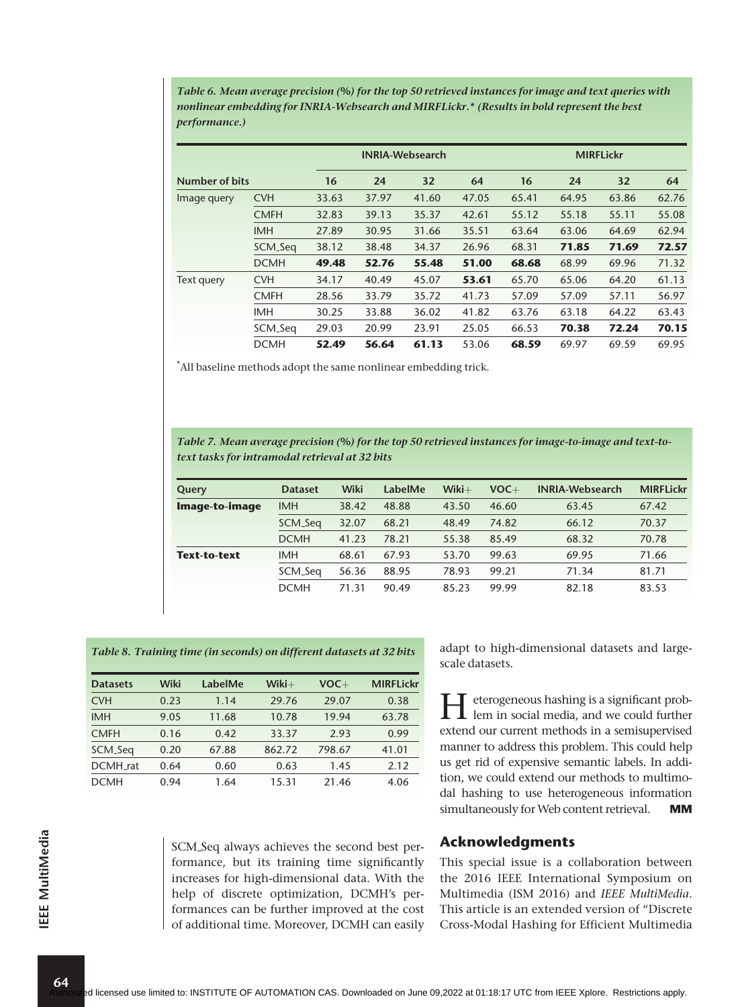Table 6. Mean average precision (%) for the top 50 retrieved instances for image and text queries with nonlinear embedding for INRIA-Websearch and MIRFLickr.\* (Results in bold represent the best performance.)

|                |             |       |       | <b>INRIA-Websearch</b> |       |       |       | <b>MIRFLickr</b> |       |
|----------------|-------------|-------|-------|------------------------|-------|-------|-------|------------------|-------|
| Number of bits |             | 16    | 24    | 32                     | 64    | 16    | 24    | 32               | 64    |
| Image query    | <b>CVH</b>  | 33.63 | 37.97 | 41.60                  | 47.05 | 65.41 | 64.95 | 63.86            | 62.76 |
|                | <b>CMFH</b> | 32.83 | 39.13 | 35.37                  | 42.61 | 55.12 | 55.18 | 55.11            | 55.08 |
|                | <b>IMH</b>  | 27.89 | 30.95 | 31.66                  | 35.51 | 63.64 | 63.06 | 64.69            | 62.94 |
|                | SCM_Seq     | 38.12 | 38.48 | 34.37                  | 26.96 | 68.31 | 71.85 | 71.69            | 72.57 |
|                | <b>DCMH</b> | 49.48 | 52.76 | 55.48                  | 51.00 | 68.68 | 68.99 | 69.96            | 71.32 |
| Text query     | <b>CVH</b>  | 34.17 | 40.49 | 45.07                  | 53.61 | 65.70 | 65.06 | 64.20            | 61.13 |
|                | <b>CMFH</b> | 28.56 | 33.79 | 35.72                  | 41.73 | 57.09 | 57.09 | 57.11            | 56.97 |
|                | <b>IMH</b>  | 30.25 | 33.88 | 36.02                  | 41.82 | 63.76 | 63.18 | 64.22            | 63.43 |
|                | SCM_Seq     | 29.03 | 20.99 | 23.91                  | 25.05 | 66.53 | 70.38 | 72.24            | 70.15 |
|                | <b>DCMH</b> | 52.49 | 56.64 | 61.13                  | 53.06 | 68.59 | 69.97 | 69.59            | 69.95 |

\* All baseline methods adopt the same nonlinear embedding trick.

Table 7. Mean average precision (%) for the top 50 retrieved instances for image-to-image and text-totext tasks for intramodal retrieval at 32 bits

| Query               | <b>Dataset</b> | <b>Wiki</b> | LabelMe | $Wiki+$ | $VOC +$ | <b>INRIA-Websearch</b> | <b>MIRFLickr</b> |
|---------------------|----------------|-------------|---------|---------|---------|------------------------|------------------|
| Image-to-image      | <b>IMH</b>     | 38.42       | 48.88   | 43.50   | 46.60   | 63.45                  | 67.42            |
|                     | SCM_Seq        | 32.07       | 68.21   | 48.49   | 74.82   | 66.12                  | 70.37            |
|                     | <b>DCMH</b>    | 41.23       | 78.21   | 55.38   | 85.49   | 68.32                  | 70.78            |
| <b>Text-to-text</b> | <b>IMH</b>     | 68.61       | 67.93   | 53.70   | 99.63   | 69.95                  | 71.66            |
|                     | SCM_Seq        | 56.36       | 88.95   | 78.93   | 99.21   | 71.34                  | 81.71            |
|                     | <b>DCMH</b>    | 71.31       | 90.49   | 85.23   | 99.99   | 82.18                  | 83.53            |

|  |  |  |  | Table 8. Training time (in seconds) on different datasets at 32 bits |
|--|--|--|--|----------------------------------------------------------------------|
|--|--|--|--|----------------------------------------------------------------------|

| <b>Datasets</b> | Wiki | LabelMe | $Wiki+$ | $VOC +$ | <b>MIRFLickr</b> |
|-----------------|------|---------|---------|---------|------------------|
| <b>CVH</b>      | 0.23 | 1.14    | 29.76   | 29.07   | 0.38             |
| <b>IMH</b>      | 9.05 | 11.68   | 10.78   | 19.94   | 63.78            |
| <b>CMFH</b>     | 0.16 | 0.42    | 33.37   | 2.93    | 0.99             |
| SCM_Seq         | 0.20 | 67.88   | 862.72  | 798.67  | 41.01            |
| DCMH rat        | 0.64 | 0.60    | 0.63    | 1.45    | 2.12             |
| <b>DCMH</b>     | 0.94 | 1.64    | 15.31   | 21.46   | 4.06             |

SCM Seq always achieves the second best performance, but its training time significantly increases for high-dimensional data. With the help of discrete optimization, DCMH's performances can be further improved at the cost of additional time. Moreover, DCMH can easily adapt to high-dimensional datasets and largescale datasets.

Heterogeneous hashing is a significant prob-lem in social media, and we could further extend our current methods in a semisupervised manner to address this problem. This could help us get rid of expensive semantic labels. In addition, we could extend our methods to multimodal hashing to use heterogeneous information simultaneously for Web content retrieval. MM

## Acknowledgments

This special issue is a collaboration between the 2016 IEEE International Symposium on Multimedia (ISM 2016) and IEEE MultiMedia. This article is an extended version of "Discrete Cross-Modal Hashing for Efficient Multimedia